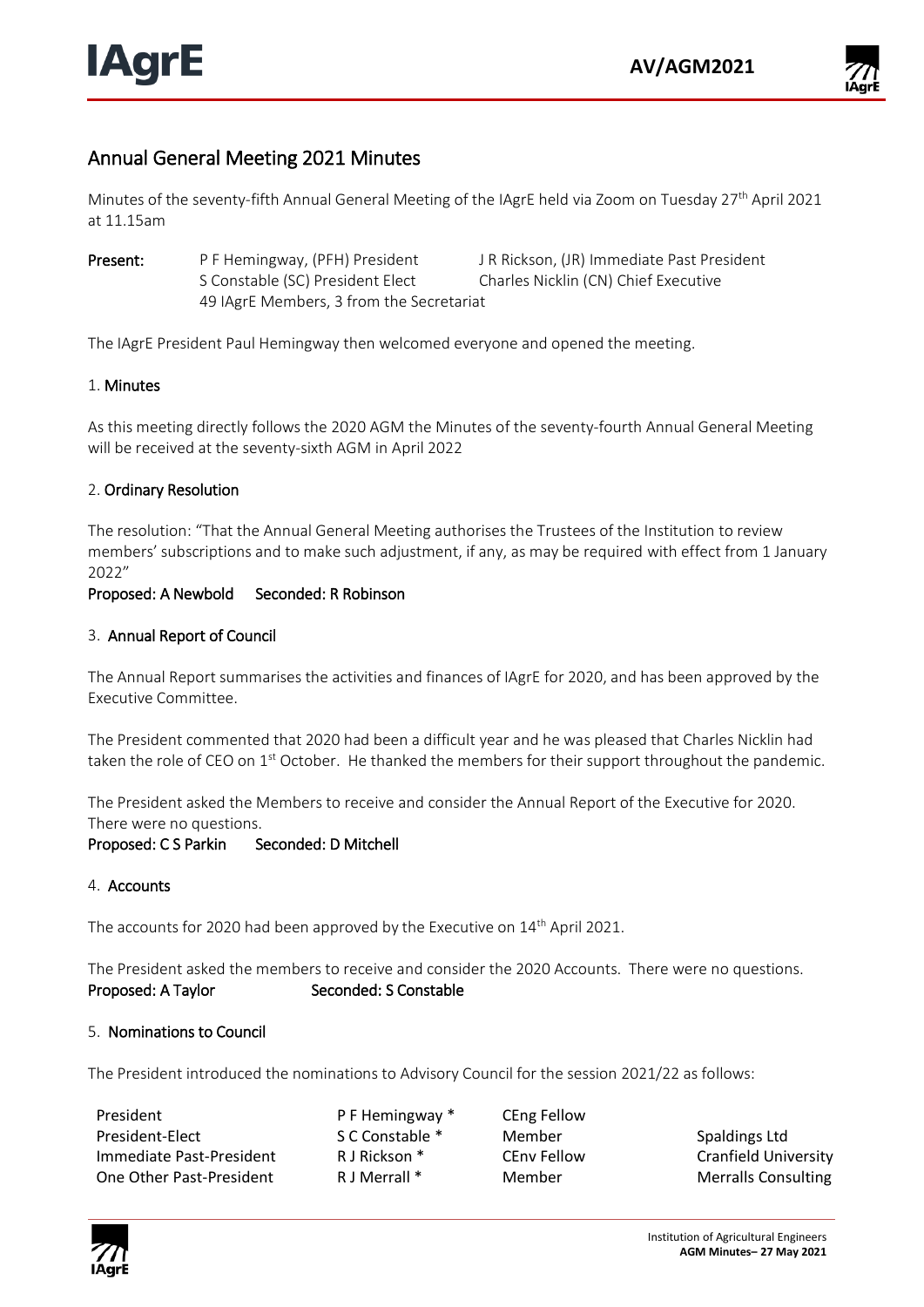

# Annual General Meeting 2021 Minutes

Minutes of the seventy-fifth Annual General Meeting of the IAgrE held via Zoom on Tuesday 27th April 2021 at 11.15am

Present: P F Hemingway, (PFH) President J R Rickson, (JR) Immediate Past President S Constable (SC) President Elect Charles Nicklin (CN) Chief Executive 49 IAgrE Members, 3 from the Secretariat

The IAgrE President Paul Hemingway then welcomed everyone and opened the meeting.

# 1. Minutes

As this meeting directly follows the 2020 AGM the Minutes of the seventy-fourth Annual General Meeting will be received at the seventy-sixth AGM in April 2022

## 2. Ordinary Resolution

The resolution: "That the Annual General Meeting authorises the Trustees of the Institution to review members' subscriptions and to make such adjustment, if any, as may be required with effect from 1 January 2022"

## Proposed: A Newbold Seconded: R Robinson

## 3. Annual Report of Council

The Annual Report summarises the activities and finances of IAgrE for 2020, and has been approved by the Executive Committee.

The President commented that 2020 had been a difficult year and he was pleased that Charles Nicklin had taken the role of CEO on 1<sup>st</sup> October. He thanked the members for their support throughout the pandemic.

The President asked the Members to receive and consider the Annual Report of the Executive for 2020. There were no questions.

#### Proposed: C S Parkin Seconded: D Mitchell

#### 4. Accounts

The accounts for 2020 had been approved by the Executive on 14<sup>th</sup> April 2021.

The President asked the members to receive and consider the 2020 Accounts. There were no questions. Proposed: A Taylor Seconded: S Constable

#### 5. Nominations to Council

The President introduced the nominations to Advisory Council for the session 2021/22 as follows:

| President                | P F Hemingway * | <b>CEng Fellow</b> |                            |
|--------------------------|-----------------|--------------------|----------------------------|
| President-Elect          | S C Constable * | Member             | Spaldings Ltd              |
| Immediate Past-President | R J Rickson *   | CEnv Fellow        | Cranfield University       |
| One Other Past-President | R J Merrall *   | Member             | <b>Merralls Consulting</b> |